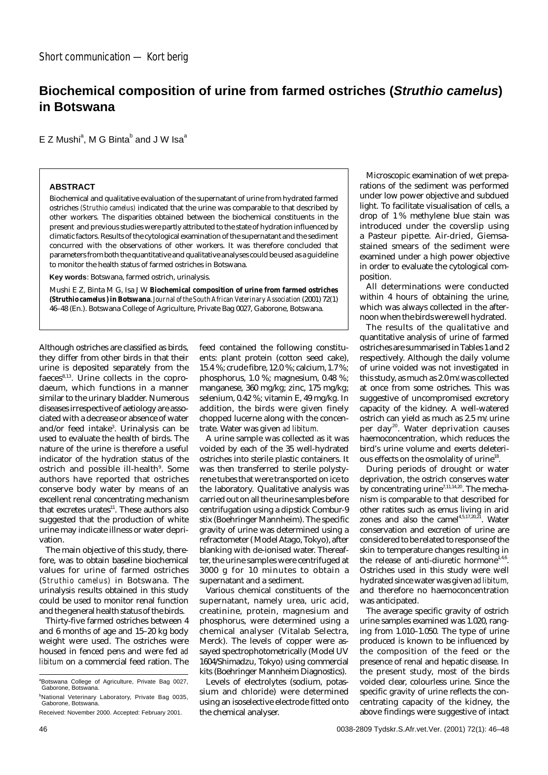## **Biochemical composition of urine from farmed ostriches (Struthio camelus) in Botswana**

E Z Mushi<sup>a</sup>, M G Binta<sup>b</sup> and J W Isa<sup>a</sup>

## **ABSTRACT**

Biochemical and qualitative evaluation of the supernatant of urine from hydrated farmed ostriches *(Struthio camelus)* indicated that the urine was comparable to that described by other workers. The disparities obtained between the biochemical constituents in the present and previous studies were partly attributed to the state of hydration influenced by climatic factors. Results of the cytological examination of the supernatant and the sediment concurred with the observations of other workers. It was therefore concluded that parameters from both the quantitative and qualitative analyses could be used as a guideline to monitor the health status of farmed ostriches in Botswana.

**Key words**: Botswana, farmed ostrich, urinalysis.

Mushi E Z, Binta M G, Isa J W **Biochemical composition of urine from farmed ostriches (***Struthio camelus* **) in Botswana**.*Journal of the South African Veterinary Association* (2001) 72(1) 46–48 (En.). Botswana College of Agriculture, Private Bag 0027, Gaborone, Botswana.

Although ostriches are classified as birds, they differ from other birds in that their urine is deposited separately from the  $faeces<sup>8,13</sup>$ . Urine collects in the coprodaeum, which functions in a manner similar to the urinary bladder. Numerous diseases irrespective of aetiology are associated with a decrease or absence of water and/or feed intake<sup>3</sup>. Urinalysis can be used to evaluate the health of birds. The nature of the urine is therefore a useful indicator of the hydration status of the ostrich and possible ill-health<sup>9</sup>. Some authors have reported that ostriches conserve body water by means of an excellent renal concentrating mechanism that excretes urates<sup>11</sup>. These authors also suggested that the production of white urine may indicate illness or water deprivation.

The main objective of this study, therefore, was to obtain baseline biochemical values for urine of farmed ostriches (*Struthio camelus)* in Botswana. The urinalysis results obtained in this study could be used to monitor renal function and the general health status of the birds.

Thirty-five farmed ostriches between 4 and 6 months of age and 15–20 kg body weight were used. The ostriches were housed in fenced pens and were fed *ad libitum* on a commercial feed ration. The feed contained the following constituents: plant protein (cotton seed cake), 15.4 %; crude fibre, 12.0 %; calcium, 1.7 %; phosphorus, 1.0 %; magnesium, 0.48 %; manganese, 360 mg/kg; zinc, 175 mg/kg; selenium, 0.42 %; vitamin E, 49 mg/kg. In addition, the birds were given finely chopped lucerne along with the concentrate. Water was given *ad libitum.*

A urine sample was collected as it was voided by each of the 35 well-hydrated ostriches into sterile plastic containers. It was then transferred to sterile polystyrene tubes that were transported on ice to the laboratory. Qualitative analysis was carried out on all the urine samples before centrifugation using a dipstick Combur-9 stix (Boehringer Mannheim). The specific gravity of urine was determined using a refractometer ( Model Atago, Tokyo), after blanking with de-ionised water. Thereafter, the urine samples were centrifuged at 3000 g for 10 minutes to obtain a supernatant and a sediment.

Various chemical constituents of the supernatant, namely urea, uric acid, creatinine, protein, magnesium and phosphorus, were determined using a chemical analyser (Vitalab Selectra, Merck). The levels of copper were assayed spectrophotometrically (Model UV 1604/Shimadzu, Tokyo) using commercial kits (Boehringer Mannheim Diagnostics).

Levels of electrolytes (sodium, potassium and chloride) were determined using an isoselective electrode fitted onto the chemical analyser.

Microscopic examination of wet preparations of the sediment was performed under low power objective and subdued light. To facilitate visualisation of cells, a drop of 1 % methylene blue stain was introduced under the coverslip using a Pasteur pipette. Air-dried, Giemsastained smears of the sediment were examined under a high power objective in order to evaluate the cytological composition.

All determinations were conducted within 4 hours of obtaining the urine, which was always collected in the afternoon when the birds were well hydrated.

The results of the qualitative and quantitative analysis of urine of farmed ostriches are summarised in Tables 1 and 2 respectively. Although the daily volume of urine voided was not investigated in this study, as much as 2.0 m $\ell$  was collected at once from some ostriches. This was suggestive of uncompromised excretory capacity of the kidney. A well-watered ostrich can yield as much as 2.5 m $\ell$  urine per day<sup>20</sup>. Water deprivation causes haemoconcentration, which reduces the bird's urine volume and exerts deleterious effects on the osmolality of urine<sup>18</sup>.

During periods of drought or water deprivation, the ostrich conserves water by concentrating urine<sup>7,11,14,20</sup>. The mechanism is comparable to that described for other ratites such as emus living in arid zones and also the camel<sup>4,5,17,20,21</sup>. Water conservation and excretion of urine are considered to be related to response of the skin to temperature changes resulting in the release of anti-diuretic hormone<sup>1,4,6</sup>. Ostriches used in this study were well hydrated since water was given*ad libitum,* and therefore no haemoconcentration was anticipated.

The average specific gravity of ostrich urine samples examined was 1.020, ranging from 1.010–1.050. The type of urine produced is known to be influenced by the composition of the feed or the presence of renal and hepatic disease. In the present study, most of the birds voided clear, colourless urine. Since the specific gravity of urine reflects the concentrating capacity of the kidney, the above findings were suggestive of intact

<sup>&</sup>lt;sup>a</sup>Botswana College of Agriculture, Private Bag 0027, Gaborone, Botswana.

<sup>&</sup>lt;sup>b</sup>National Veterinary Laboratory, Private Bag 0035, Gaborone, Botswana.

Received: November 2000. Accepted: February 2001.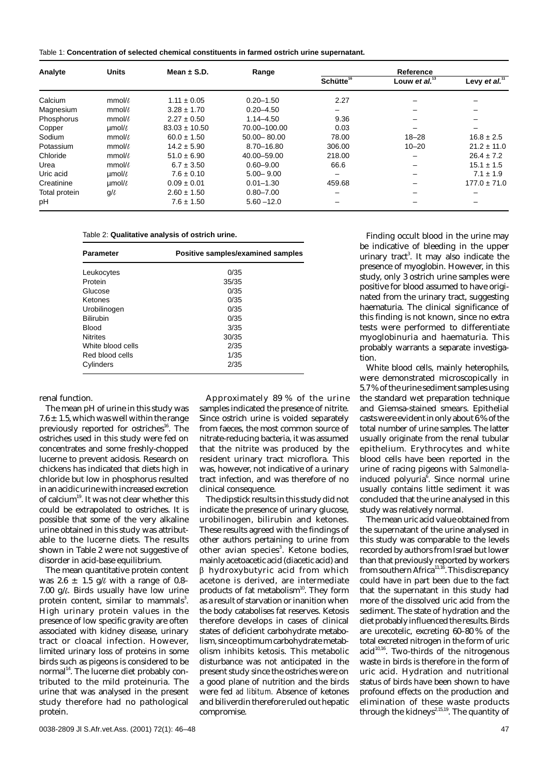| Table 1: Concentration of selected chemical constituents in farmed ostrich urine supernatant. |  |
|-----------------------------------------------------------------------------------------------|--|
|-----------------------------------------------------------------------------------------------|--|

| Analyte       | <b>Units</b>      | Mean $\pm$ S.D.   | Range           | Reference             |                  |                  |
|---------------|-------------------|-------------------|-----------------|-----------------------|------------------|------------------|
|               |                   |                   |                 | Schütte <sup>16</sup> | Louw et al. $13$ | Levy et al. $11$ |
| Calcium       | $mmol\ell$        | $1.11 \pm 0.05$   | $0.20 - 1.50$   | 2.27                  |                  |                  |
| Magnesium     | $mmol/\ell$       | $3.28 \pm 1.70$   | $0.20 - 4.50$   | -                     |                  |                  |
| Phosphorus    | mmol/l            | $2.27 \pm 0.50$   | $1.14 - 4.50$   | 9.36                  |                  |                  |
| Copper        | $\mu$ mol/ $\ell$ | $83.03 \pm 10.50$ | 70.00-100.00    | 0.03                  |                  |                  |
| Sodium        | mmol/t            | $60.0 \pm 1.50$   | $50.00 - 80.00$ | 78.00                 | $18 - 28$        | $16.8 \pm 2.5$   |
| Potassium     | $mmol/\ell$       | $14.2 \pm 5.90$   | 8.70-16.80      | 306.00                | $10 - 20$        | $21.2 \pm 11.0$  |
| Chloride      | mmol/l            | $51.0 \pm 6.90$   | 40.00 - 59.00   | 218.00                |                  | $26.4 \pm 7.2$   |
| Urea          | mmol/l            | $6.7 \pm 3.50$    | $0.60 - 9.00$   | 66.6                  |                  | $15.1 \pm 1.5$   |
| Uric acid     | µmol/l            | $7.6 \pm 0.10$    | $5.00 - 9.00$   | -                     |                  | $7.1 \pm 1.9$    |
| Creatinine    | $umol\ell$        | $0.09 \pm 0.01$   | $0.01 - 1.30$   | 459.68                |                  | $177.0 \pm 71.0$ |
| Total protein | $g/\ell$          | $2.60 \pm 1.50$   | $0.80 - 7.00$   |                       |                  |                  |
| pH            |                   | $7.6 \pm 1.50$    | $5.60 - 12.0$   | -                     |                  |                  |

| Table 2: Qualitative analysis of ostrich urine. |  |  |  |  |
|-------------------------------------------------|--|--|--|--|
|-------------------------------------------------|--|--|--|--|

| <b>Parameter</b>  | Positive samples/examined samples |
|-------------------|-----------------------------------|
| Leukocytes        | 0/35                              |
| Protein           | 35/35                             |
| Glucose           | 0/35                              |
| Ketones           | 0/35                              |
| Urobilinogen      | 0/35                              |
| <b>Bilirubin</b>  | 0/35                              |
| <b>Blood</b>      | 3/35                              |
| <b>Nitrites</b>   | 30/35                             |
| White blood cells | 2/35                              |
| Red blood cells   | 1/35                              |
| Cylinders         | 2/35                              |

renal function.

The mean pH of urine in this study was  $7.6 \pm 1.5$ , which was well within the range previously reported for ostriches<sup>16</sup>. The ostriches used in this study were fed on concentrates and some freshly-chopped lucerne to prevent acidosis. Research on chickens has indicated that diets high in chloride but low in phosphorus resulted in an acidic urine with increased excretion of calcium19. It was not clear whether this could be extrapolated to ostriches. It is possible that some of the very alkaline urine obtained in this study was attributable to the lucerne diets. The results shown in Table 2 were not suggestive of disorder in acid-base equilibrium.

The mean quantitative protein content was 2.6  $\pm$  1.5 g/l with a range of 0.8– 7.00  $q/\ell$ . Birds usually have low urine protein content, similar to mammals $^3$ . High urinary protein values in the presence of low specific gravity are often associated with kidney disease, urinary tract or cloacal infection. However, limited urinary loss of proteins in some birds such as pigeons is considered to be normal<sup>14</sup>. The lucerne diet probably contributed to the mild proteinuria. The urine that was analysed in the present study therefore had no pathological protein.

Approximately 89 % of the urine samples indicated the presence of nitrite. Since ostrich urine is voided separately from faeces, the most common source of nitrate-reducing bacteria, it was assumed that the nitrite was produced by the resident urinary tract microflora. This was, however, not indicative of a urinary tract infection, and was therefore of no clinical consequence.

The dipstick results in this study did not indicate the presence of urinary glucose, urobilinogen, bilirubin and ketones. These results agreed with the findings of other authors pertaining to urine from other avian species $^3$ . Ketone bodies, mainly acetoacetic acid (diacetic acid) and  $\beta$  hydroxybutyric acid from which acetone is derived, are intermediate products of fat metabolism<sup>10</sup>. They form as a result of starvation or inanition when the body catabolises fat reserves. Ketosis therefore develops in cases of clinical states of deficient carbohydrate metabolism, since optimum carbohydrate metabolism inhibits ketosis. This metabolic disturbance was not anticipated in the present study since the ostriches were on a good plane of nutrition and the birds were fed *ad libitum.* Absence of ketones and biliverdin therefore ruled out hepatic compromise.

Finding occult blood in the urine may be indicative of bleeding in the upper urinary tract<sup>3</sup>. It may also indicate the presence of myoglobin. However, in this study, only 3 ostrich urine samples were positive for blood assumed to have originated from the urinary tract, suggesting haematuria. The clinical significance of this finding is not known, since no extra tests were performed to differentiate myoglobinuria and haematuria. This probably warrants a separate investigation.

White blood cells, mainly heterophils, were demonstrated microscopically in 5.7 % of the urine sediment samples using the standard wet preparation technique and Giemsa-stained smears. Epithelial casts were evident in only about 6 % of the total number of urine samples. The latter usually originate from the renal tubular epithelium. Erythrocytes and white blood cells have been reported in the urine of racing pigeons with *Salmonella*induced polyuria<sup>6</sup>. Since normal urine usually contains little sediment it was concluded that the urine analysed in this study was relatively normal.

The mean uric acid value obtained from the supernatant of the urine analysed in this study was comparable to the levels recorded by authors from Israel but lower than that previously reported by workers from southern Africa<sup>11,16</sup>. This discrepancy could have in part been due to the fact that the supernatant in this study had more of the dissolved uric acid from the sediment. The state of hydration and the diet probably influenced the results. Birds are urecotelic, excreting 60–80 % of the total excreted nitrogen in the form of uric  $acid<sup>10,16</sup>$ . Two-thirds of the nitrogenous waste in birds is therefore in the form of uric acid. Hydration and nutritional status of birds have been shown to have profound effects on the production and elimination of these waste products through the kidneys<sup>2,15,19</sup>. The quantity of